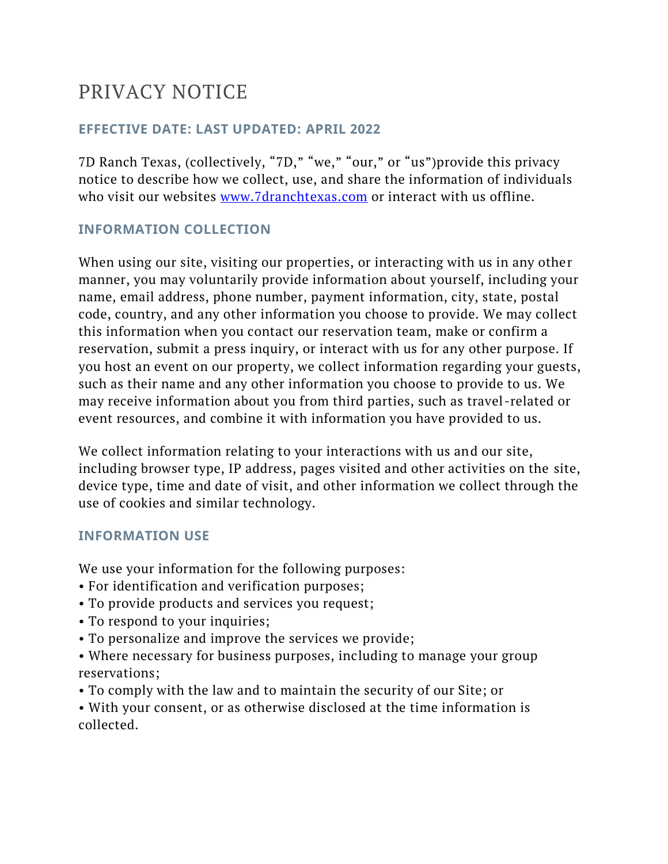# PRIVACY NOTICE

## **EFFECTIVE DATE: LAST UPDATED: APRIL 2022**

7D Ranch Texas, (collectively, "7D," "we," "our," or "us")provide this privacy notice to describe how we collect, use, and share the information of individuals who visit our websites [www.7dranchtexas.com](http://www.7dranchtexas.com/) or interact with us offline.

## **INFORMATION COLLECTION**

When using our site, visiting our properties, or interacting with us in any other manner, you may voluntarily provide information about yourself, including your name, email address, phone number, payment information, city, state, postal code, country, and any other information you choose to provide. We may collect this information when you contact our reservation team, make or confirm a reservation, submit a press inquiry, or interact with us for any other purpose. If you host an event on our property, we collect information regarding your guests, such as their name and any other information you choose to provide to us. We may receive information about you from third parties, such as travel-related or event resources, and combine it with information you have provided to us.

We collect information relating to your interactions with us and our site, including browser type, IP address, pages visited and other activities on the site, device type, time and date of visit, and other information we collect through the use of cookies and similar technology.

## **INFORMATION USE**

We use your information for the following purposes:

- For identification and verification purposes;
- To provide products and services you request;
- To respond to your inquiries;
- To personalize and improve the services we provide;
- Where necessary for business purposes, including to manage your group reservations;
- To comply with the law and to maintain the security of our Site; or
- With your consent, or as otherwise disclosed at the time information is collected.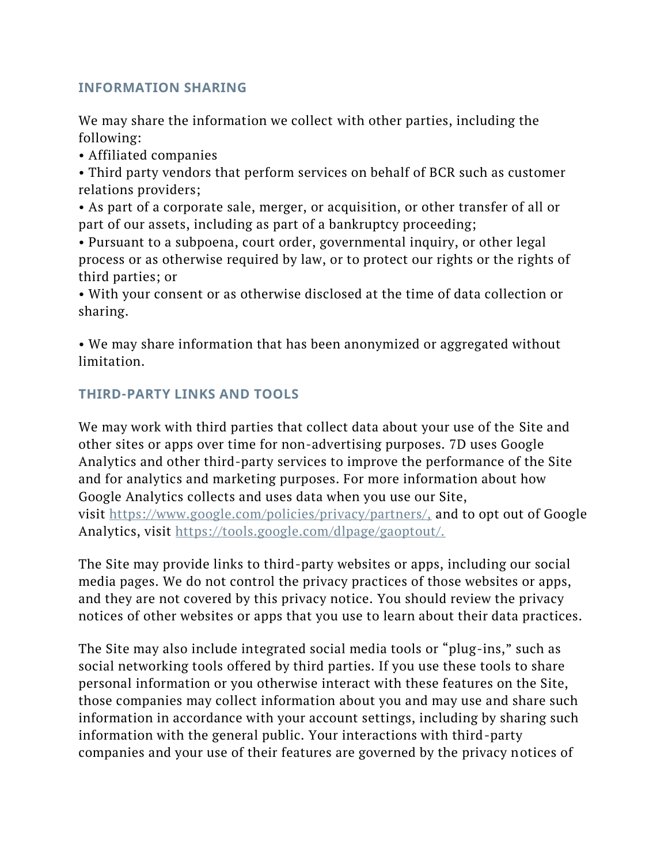## **INFORMATION SHARING**

We may share the information we collect with other parties, including the following:

• Affiliated companies

• Third party vendors that perform services on behalf of BCR such as customer relations providers;

• As part of a corporate sale, merger, or acquisition, or other transfer of all or part of our assets, including as part of a bankruptcy proceeding;

• Pursuant to a subpoena, court order, governmental inquiry, or other legal process or as otherwise required by law, or to protect our rights or the rights of third parties; or

• With your consent or as otherwise disclosed at the time of data collection or sharing.

• We may share information that has been anonymized or aggregated without limitation.

# **THIRD-PARTY LINKS AND TOOLS**

We may work with third parties that collect data about your use of the Site and other sites or apps over time for non-advertising purposes. 7D uses Google Analytics and other third-party services to improve the performance of the Site and for analytics and marketing purposes. For more information about how Google Analytics collects and uses data when you use our Site, visit <https://www.google.com/policies/privacy/partners/,> and to opt out of Google Analytics, visit [https://tools.google.com/dlpage/gaoptout/.](https://tools.google.com/dlpage/gaoptout/)

The Site may provide links to third-party websites or apps, including our social media pages. We do not control the privacy practices of those websites or apps, and they are not covered by this privacy notice. You should review the privacy notices of other websites or apps that you use to learn about their data practices.

The Site may also include integrated social media tools or "plug-ins," such as social networking tools offered by third parties. If you use these tools to share personal information or you otherwise interact with these features on the Site, those companies may collect information about you and may use and share such information in accordance with your account settings, including by sharing such information with the general public. Your interactions with third-party companies and your use of their features are governed by the privacy notices of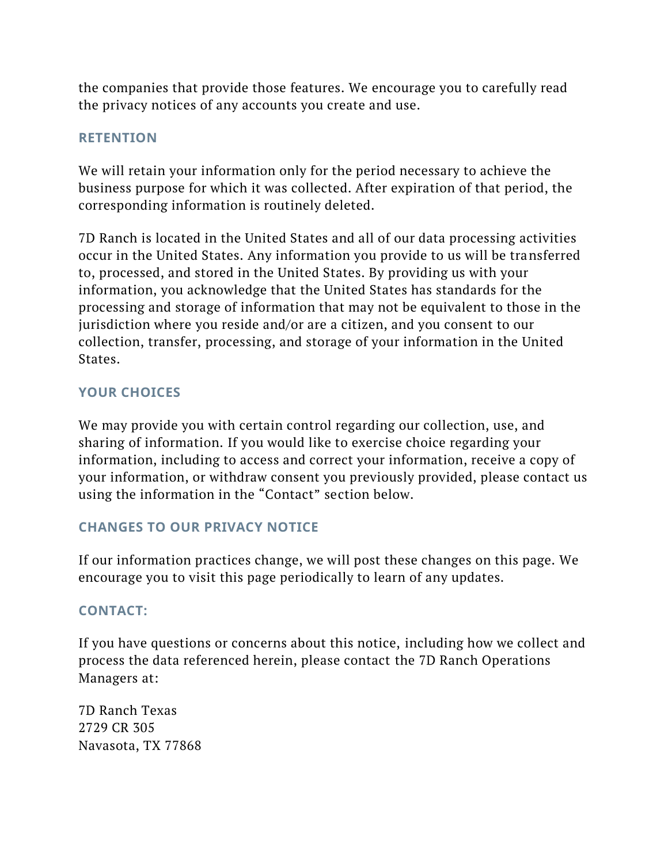the companies that provide those features. We encourage you to carefully read the privacy notices of any accounts you create and use.

## **RETENTION**

We will retain your information only for the period necessary to achieve the business purpose for which it was collected. After expiration of that period, the corresponding information is routinely deleted.

7D Ranch is located in the United States and all of our data processing activities occur in the United States. Any information you provide to us will be transferred to, processed, and stored in the United States. By providing us with your information, you acknowledge that the United States has standards for the processing and storage of information that may not be equivalent to those in the jurisdiction where you reside and/or are a citizen, and you consent to our collection, transfer, processing, and storage of your information in the United States.

# **YOUR CHOICES**

We may provide you with certain control regarding our collection, use, and sharing of information. If you would like to exercise choice regarding your information, including to access and correct your information, receive a copy of your information, or withdraw consent you previously provided, please contact us using the information in the "Contact" section below.

## **CHANGES TO OUR PRIVACY NOTICE**

If our information practices change, we will post these changes on this page. We encourage you to visit this page periodically to learn of any updates.

# **CONTACT:**

If you have questions or concerns about this notice, including how we collect and process the data referenced herein, please contact the 7D Ranch Operations Managers at:

7D Ranch Texas 2729 CR 305 Navasota, TX 77868